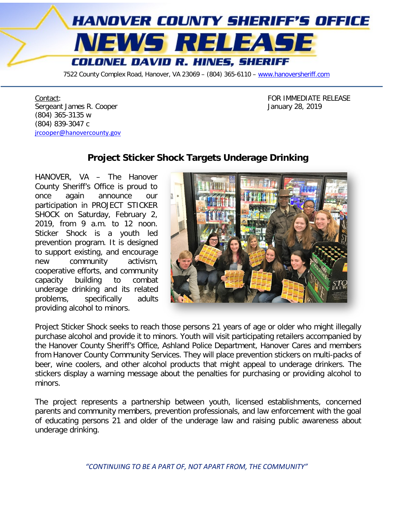

7522 County Complex Road, Hanover, VA 23069 - (804) 365-6110 - [www.hanoversheriff.com](http://www.hanoversheriff.com/)

Contact:<br>
Contact:<br>
Sergeant James R. Cooper<br>
Sergeant James R. Cooper Sergeant James R. Cooper (804) 365-3135 w (804) 839-3047 c [jrcooper@hanovercounty.gov](mailto:jrcooper@hanovercounty.gov)

## **Project Sticker Shock Targets Underage Drinking**

HANOVER, VA – The Hanover County Sheriff's Office is proud to once again announce our participation in PROJECT STICKER SHOCK on Saturday, February 2, 2019, from 9 a.m. to 12 noon. Sticker Shock is a youth led prevention program. It is designed to support existing, and encourage new community activism, cooperative efforts, and community capacity building to combat underage drinking and its related problems, specifically adults providing alcohol to minors.



Project Sticker Shock seeks to reach those persons 21 years of age or older who might illegally purchase alcohol and provide it to minors. Youth will visit participating retailers accompanied by the Hanover County Sheriff's Office, Ashland Police Department, Hanover Cares and members from Hanover County Community Services. They will place prevention stickers on multi-packs of beer, wine coolers, and other alcohol products that might appeal to underage drinkers. The stickers display a warning message about the penalties for purchasing or providing alcohol to minors.

The project represents a partnership between youth, licensed establishments, concerned parents and community members, prevention professionals, and law enforcement with the goal of educating persons 21 and older of the underage law and raising public awareness about underage drinking.

*"CONTINUING TO BE A PART OF, NOT APART FROM, THE COMMUNITY"*